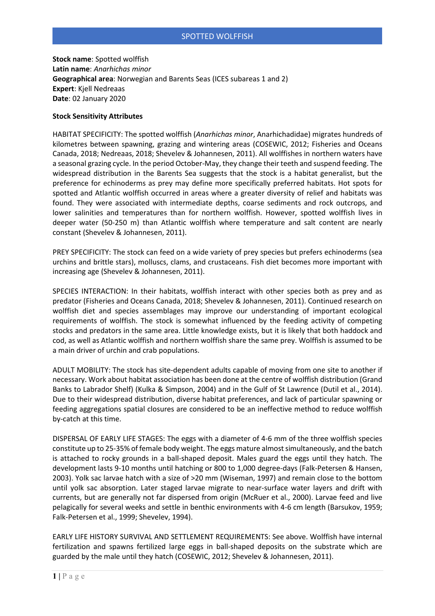**Stock name**: Spotted wolffish **Latin name**: *Anarhichas minor* **Geographical area**: Norwegian and Barents Seas (ICES subareas 1 and 2) **Expert**: Kjell Nedreaas **Date**: 02 January 2020

## **Stock Sensitivity Attributes**

HABITAT SPECIFICITY: The spotted wolffish (*Anarhichas minor*, Anarhichadidae) migrates hundreds of kilometres between spawning, grazing and wintering areas (COSEWIC, 2012; Fisheries and Oceans Canada, 2018; Nedreaas, 2018; Shevelev & Johannesen, 2011). All wolffishes in northern waters have a seasonal grazing cycle. In the period October-May, they change their teeth and suspend feeding. The widespread distribution in the Barents Sea suggests that the stock is a habitat generalist, but the preference for echinoderms as prey may define more specifically preferred habitats. Hot spots for spotted and Atlantic wolffish occurred in areas where a greater diversity of relief and habitats was found. They were associated with intermediate depths, coarse sediments and rock outcrops, and lower salinities and temperatures than for northern wolffish. However, spotted wolffish lives in deeper water (50-250 m) than Atlantic wolffish where temperature and salt content are nearly constant (Shevelev & Johannesen, 2011).

PREY SPECIFICITY: The stock can feed on a wide variety of prey species but prefers echinoderms (sea urchins and brittle stars), molluscs, clams, and crustaceans. Fish diet becomes more important with increasing age (Shevelev & Johannesen, 2011).

SPECIES INTERACTION: In their habitats, wolffish interact with other species both as prey and as predator (Fisheries and Oceans Canada, 2018; Shevelev & Johannesen, 2011). Continued research on wolffish diet and species assemblages may improve our understanding of important ecological requirements of wolffish. The stock is somewhat influenced by the feeding activity of competing stocks and predators in the same area. Little knowledge exists, but it is likely that both haddock and cod, as well as Atlantic wolffish and northern wolffish share the same prey. Wolffish is assumed to be a main driver of urchin and crab populations.

ADULT MOBILITY: The stock has site-dependent adults capable of moving from one site to another if necessary. Work about habitat association has been done at the centre of wolffish distribution (Grand Banks to Labrador Shelf) (Kulka & Simpson, 2004) and in the Gulf of St Lawrence (Dutil et al., 2014). Due to their widespread distribution, diverse habitat preferences, and lack of particular spawning or feeding aggregations spatial closures are considered to be an ineffective method to reduce wolffish by-catch at this time.

DISPERSAL OF EARLY LIFE STAGES: The eggs with a diameter of 4-6 mm of the three wolffish species constitute up to 25-35% of female body weight. The eggs mature almost simultaneously, and the batch is attached to rocky grounds in a ball-shaped deposit. Males guard the eggs until they hatch. The development lasts 9-10 months until hatching or 800 to 1,000 degree-days (Falk-Petersen & Hansen, 2003). Yolk sac larvae hatch with a size of >20 mm (Wiseman, 1997) and remain close to the bottom until yolk sac absorption. Later staged larvae migrate to near-surface water layers and drift with currents, but are generally not far dispersed from origin (McRuer et al., 2000). Larvae feed and live pelagically for several weeks and settle in benthic environments with 4-6 cm length (Barsukov, 1959; Falk-Petersen et al., 1999; Shevelev, 1994).

EARLY LIFE HISTORY SURVIVAL AND SETTLEMENT REQUIREMENTS: See above. Wolffish have internal fertilization and spawns fertilized large eggs in ball-shaped deposits on the substrate which are guarded by the male until they hatch (COSEWIC, 2012; Shevelev & Johannesen, 2011).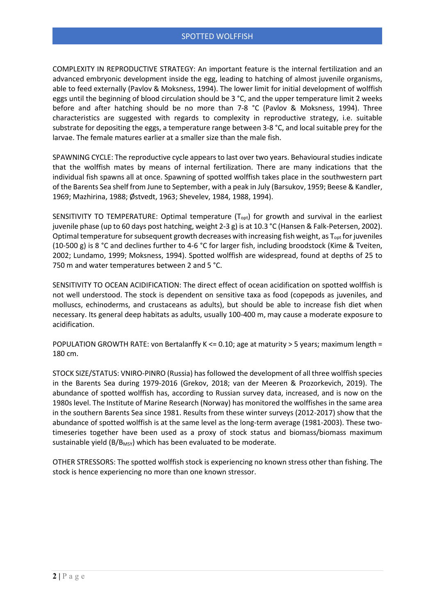COMPLEXITY IN REPRODUCTIVE STRATEGY: An important feature is the internal fertilization and an advanced embryonic development inside the egg, leading to hatching of almost juvenile organisms, able to feed externally (Pavlov & Moksness, 1994). The lower limit for initial development of wolffish eggs until the beginning of blood circulation should be 3 °C, and the upper temperature limit 2 weeks before and after hatching should be no more than 7-8 °C (Pavlov & Moksness, 1994). Three characteristics are suggested with regards to complexity in reproductive strategy, i.e. suitable substrate for depositing the eggs, a temperature range between 3-8 °C, and local suitable prey for the larvae. The female matures earlier at a smaller size than the male fish.

SPAWNING CYCLE: The reproductive cycle appears to last over two years. Behavioural studies indicate that the wolffish mates by means of internal fertilization. There are many indications that the individual fish spawns all at once. Spawning of spotted wolffish takes place in the southwestern part of the Barents Sea shelf from June to September, with a peak in July (Barsukov, 1959; Beese & Kandler, 1969; Mazhirina, 1988; Østvedt, 1963; Shevelev, 1984, 1988, 1994).

SENSITIVITY TO TEMPERATURE: Optimal temperature  $(T_{opt})$  for growth and survival in the earliest juvenile phase (up to 60 days post hatching, weight 2-3 g) is at 10.3 °C (Hansen & Falk-Petersen, 2002). Optimal temperature for subsequent growth decreases with increasing fish weight, as  $T_{\text{oot}}$  for juveniles (10-500 g) is 8 °C and declines further to 4-6 °C for larger fish, including broodstock (Kime & Tveiten, 2002; Lundamo, 1999; Moksness, 1994). Spotted wolffish are widespread, found at depths of 25 to 750 m and water temperatures between 2 and 5 °C.

SENSITIVITY TO OCEAN ACIDIFICATION: The direct effect of ocean acidification on spotted wolffish is not well understood. The stock is dependent on sensitive taxa as food (copepods as juveniles, and molluscs, echinoderms, and crustaceans as adults), but should be able to increase fish diet when necessary. Its general deep habitats as adults, usually 100-400 m, may cause a moderate exposure to acidification.

POPULATION GROWTH RATE: von Bertalanffy K <= 0.10; age at maturity > 5 years; maximum length = 180 cm.

STOCK SIZE/STATUS: VNIRO-PINRO (Russia) has followed the development of all three wolffish species in the Barents Sea during 1979-2016 (Grekov, 2018; van der Meeren & Prozorkevich, 2019). The abundance of spotted wolffish has, according to Russian survey data, increased, and is now on the 1980s level. The Institute of Marine Research (Norway) has monitored the wolffishes in the same area in the southern Barents Sea since 1981. Results from these winter surveys (2012-2017) show that the abundance of spotted wolffish is at the same level as the long-term average (1981-2003). These twotimeseries together have been used as a proxy of stock status and biomass/biomass maximum sustainable yield ( $B/B<sub>MSY</sub>$ ) which has been evaluated to be moderate.

OTHER STRESSORS: The spotted wolffish stock is experiencing no known stress other than fishing. The stock is hence experiencing no more than one known stressor.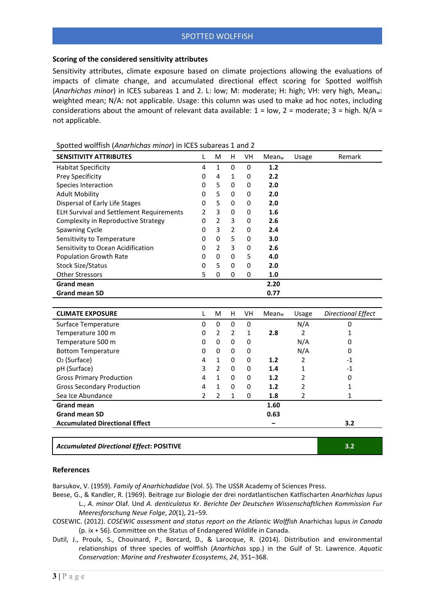## **Scoring of the considered sensitivity attributes**

Sensitivity attributes, climate exposure based on climate projections allowing the evaluations of impacts of climate change, and accumulated directional effect scoring for Spotted wolffish (*Anarhichas minor*) in ICES subareas 1 and 2. L: low; M: moderate; H: high; VH: very high, Meanw: weighted mean; N/A: not applicable. Usage: this column was used to make ad hoc notes, including considerations about the amount of relevant data available:  $1 = low$ ,  $2 = moderate$ ;  $3 = high$ .  $N/A =$ not applicable.

| <b>SENSITIVITY ATTRIBUTES</b>                   | L              | M              | н              | VH          | Mean <sub>w</sub> | Usage          | Remark                    |
|-------------------------------------------------|----------------|----------------|----------------|-------------|-------------------|----------------|---------------------------|
| <b>Habitat Specificity</b>                      | 4              | $\mathbf{1}$   | 0              | $\mathbf 0$ | 1.2               |                |                           |
| Prey Specificity                                | 0              | 4              | $\mathbf{1}$   | $\mathbf 0$ | 2.2               |                |                           |
| Species Interaction                             | 0              | 5              | 0              | 0           | 2.0               |                |                           |
| <b>Adult Mobility</b>                           | 0              | 5              | $\Omega$       | $\Omega$    | 2.0               |                |                           |
| Dispersal of Early Life Stages                  | 0              | 5              | 0              | $\mathbf 0$ | 2.0               |                |                           |
| <b>ELH Survival and Settlement Requirements</b> | 2              | 3              | 0              | $\mathbf 0$ | 1.6               |                |                           |
| Complexity in Reproductive Strategy             | 0              | $\overline{2}$ | 3              | 0           | 2.6               |                |                           |
| Spawning Cycle                                  | 0              | 3              | $\overline{2}$ | 0           | 2.4               |                |                           |
| Sensitivity to Temperature                      | 0              | 0              | 5              | $\mathbf 0$ | 3.0               |                |                           |
| Sensitivity to Ocean Acidification              | 0              | $\overline{2}$ | $\overline{3}$ | 0           | 2.6               |                |                           |
| <b>Population Growth Rate</b>                   | 0              | 0              | 0              | 5           | 4.0               |                |                           |
| <b>Stock Size/Status</b>                        | 0              | 5              | $\Omega$       | $\mathbf 0$ | 2.0               |                |                           |
| <b>Other Stressors</b>                          | 5              | 0              | $\Omega$       | $\mathbf 0$ | 1.0               |                |                           |
| <b>Grand mean</b>                               |                |                |                |             | 2.20              |                |                           |
| <b>Grand mean SD</b>                            |                |                |                |             | 0.77              |                |                           |
|                                                 |                |                |                |             |                   |                |                           |
| <b>CLIMATE EXPOSURE</b>                         | L              | M              | H              | VH          | Mean <sub>w</sub> | Usage          | <b>Directional Effect</b> |
| Surface Temperature                             | 0              | 0              | 0              | 0           |                   | N/A            | 0                         |
| Temperature 100 m                               | 0              | $\overline{2}$ | 2              | 1           | 2.8               | $\overline{2}$ | 1                         |
| Temperature 500 m                               | 0              | 0              | 0              | 0           |                   | N/A            | 0                         |
| <b>Bottom Temperature</b>                       | 0              | $\Omega$       | 0              | 0           |                   | N/A            | 0                         |
| O <sub>2</sub> (Surface)                        | 4              | 1              | 0              | 0           | 1.2               | 2              | -1                        |
| pH (Surface)                                    | 3              | $\overline{2}$ | 0              | 0           | 1.4               | $\mathbf{1}$   | $-1$                      |
| <b>Gross Primary Production</b>                 | 4              | $\mathbf{1}$   | 0              | 0           | 1.2               | 2              | 0                         |
| <b>Gross Secondary Production</b>               | 4              | $\mathbf{1}$   | 0              | 0           | 1.2               | 2              | 1                         |
| Sea Ice Abundance                               | $\overline{2}$ | $\overline{2}$ | $\mathbf{1}$   | 0           | 1.8               | $\overline{2}$ | $\mathbf{1}$              |
| <b>Grand mean</b>                               |                |                |                |             | 1.60              |                |                           |
| <b>Grand mean SD</b>                            |                |                |                |             | 0.63              |                |                           |
| <b>Accumulated Directional Effect</b>           |                |                |                |             |                   |                | 3.2                       |
|                                                 |                |                |                |             |                   |                |                           |
| <b>Accumulated Directional Effect: POSITIVE</b> |                |                |                |             |                   |                | 3.2                       |

Spotted wolffish (*Anarhichas minor*) in ICES subareas 1 and 2

## **References**

Barsukov, V. (1959). *Family of Anarhichadidae* (Vol. 5). The USSR Academy of Sciences Press.

- Beese, G., & Kandler, R. (1969). Beitrage zur Biologie der drei nordatlantischen Katfischarten *Anarhichas lupus* L., *A. minor* Olaf. Und *A. denticulatus* Kr. *Berichte Der Deutschen Wissenschaftlichen Kommission Fur Meeresforschung Neue Folge*, *20*(1), 21–59.
- COSEWIC. (2012). *COSEWIC assessment and status report on the Atlantic Wolffish* Anarhichas lupus *in Canada* (p. ix + 56). Committee on the Status of Endangered Wildlife in Canada.
- Dutil, J., Proulx, S., Chouinard, P., Borcard, D., & Larocque, R. (2014). Distribution and environmental relationships of three species of wolffish (*Anarhichas* spp.) in the Gulf of St. Lawrence. *Aquatic Conservation: Marine and Freshwater Ecosystems*, *24*, 351–368.